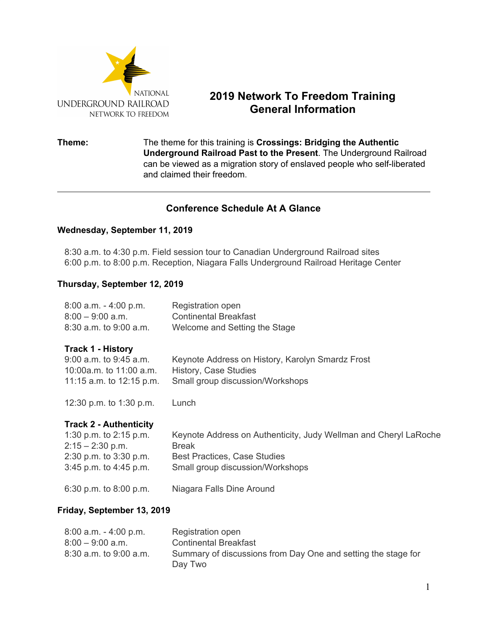

# **2019 Network To Freedom Training General Information**

### **Theme:** The theme for this training is **Crossings: Bridging the Authentic Underground Railroad Past to the Present**. The Underground Railroad can be viewed as a migration story of enslaved people who self-liberated and claimed their freedom.

# **Conference Schedule At A Glance**

### **Wednesday, September 11, 2019**

8:30 a.m. to 4:30 p.m. Field session tour to Canadian Underground Railroad sites 6:00 p.m. to 8:00 p.m. Reception, Niagara Falls Underground Railroad Heritage Center

### **Thursday, September 12, 2019**

| $8:00$ a.m. $-4:00$ p.m.<br>$8:00 - 9:00$ a.m.<br>8:30 a.m. to 9:00 a.m.                                                            | Registration open<br><b>Continental Breakfast</b><br>Welcome and Setting the Stage                                                                          |  |  |  |
|-------------------------------------------------------------------------------------------------------------------------------------|-------------------------------------------------------------------------------------------------------------------------------------------------------------|--|--|--|
| <b>Track 1 - History</b><br>9:00 a.m. to 9:45 a.m.<br>10:00a.m. to 11:00 a.m.<br>11:15 a.m. to 12:15 p.m.                           | Keynote Address on History, Karolyn Smardz Frost<br>History, Case Studies<br>Small group discussion/Workshops                                               |  |  |  |
| 12:30 p.m. to 1:30 p.m.                                                                                                             | Lunch                                                                                                                                                       |  |  |  |
| <b>Track 2 - Authenticity</b><br>1:30 p.m. to $2:15$ p.m.<br>$2:15 - 2:30$ p.m.<br>2:30 p.m. to 3:30 p.m.<br>3:45 p.m. to 4:45 p.m. | Keynote Address on Authenticity, Judy Wellman and Cheryl LaRoche<br><b>Break</b><br><b>Best Practices, Case Studies</b><br>Small group discussion/Workshops |  |  |  |
| 6:30 p.m. to 8:00 p.m.                                                                                                              | Niagara Falls Dine Around                                                                                                                                   |  |  |  |
| Friday, September 13, 2019                                                                                                          |                                                                                                                                                             |  |  |  |
| $8:00$ a.m. $-4:00$ p.m.<br>$8:00 - 9:00$ a.m.<br>$8:30$ a.m. to $9:00$ a.m.                                                        | Registration open<br><b>Continental Breakfast</b><br>Summary of discussions from Day One and setting the stage for                                          |  |  |  |

Day Two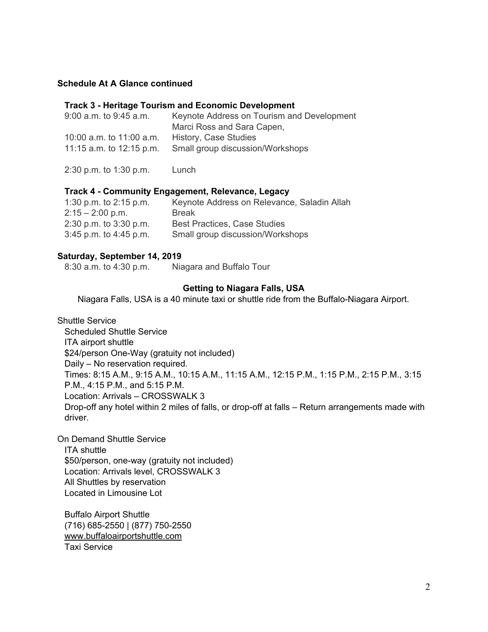### **Schedule At A Glance continued**

#### **Track 3 - Heritage Tourism and Economic Development**

| $9:00$ a.m. to $9:45$ a.m. | Keynote Address on Tourism and Development |
|----------------------------|--------------------------------------------|
|                            | Marci Ross and Sara Capen,                 |
| 10:00 a.m. to 11:00 a.m.   | History, Case Studies                      |
| 11:15 a.m. to $12:15$ p.m. | Small group discussion/Workshops           |

2:30 p.m. to 1:30 p.m. Lunch

#### **Track 4 - Community Engagement, Relevance, Legacy**

| 1:30 p.m. to $2:15$ p.m.   | Keynote Address on Relevance, Saladin Allah |
|----------------------------|---------------------------------------------|
| $2:15 - 2:00$ p.m.         | Break                                       |
| $2:30$ p.m. to $3:30$ p.m. | <b>Best Practices, Case Studies</b>         |
| $3:45$ p.m. to $4:45$ p.m. | Small group discussion/Workshops            |

#### **Saturday, September 14, 2019**

8:30 a.m. to 4:30 p.m. Niagara and Buffalo Tour

#### **Getting to Niagara Falls, USA**

Niagara Falls, USA is a 40 minute taxi or shuttle ride from the Buffalo-Niagara Airport.

Shuttle Service Scheduled Shuttle Service ITA airport shuttle \$24/person One-Way (gratuity not included) Daily – No reservation required. Times: 8:15 A.M., 9:15 A.M., 10:15 A.M., 11:15 A.M., 12:15 P.M., 1:15 P.M., 2:15 P.M., 3:15 P.M., 4:15 P.M., and 5:15 P.M. Location: Arrivals – CROSSWALK 3 Drop-off any hotel within 2 miles of falls, or drop-off at falls – Return arrangements made with driver.

On Demand Shuttle Service ITA shuttle \$50/person, one-way (gratuity not included) Location: Arrivals level, CROSSWALK 3 All Shuttles by reservation Located in Limousine Lot

Buffalo Airport Shuttle (716) 685-2550 | (877) 750-2550 [www.buffaloairportshuttle.com](http://www.buffaloairportshuttle.com/) Taxi Service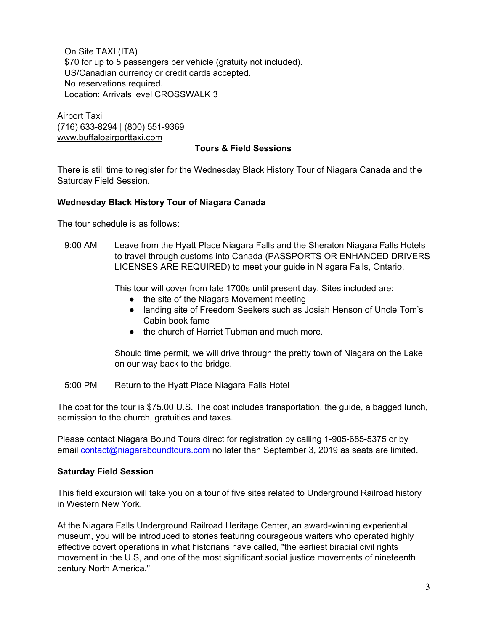On Site TAXI (ITA) \$70 for up to 5 passengers per vehicle (gratuity not included). US/Canadian currency or credit cards accepted. No reservations required. Location: Arrivals level CROSSWALK 3

Airport Taxi (716) 633-8294 | (800) 551-9369 [www.buffaloairporttaxi.com](http://www.buffaloairporttaxi.com/)

#### **Tours & Field Sessions**

There is still time to register for the Wednesday Black History Tour of Niagara Canada and the Saturday Field Session.

### **Wednesday Black History Tour of Niagara Canada**

The tour schedule is as follows:

9:00 AM Leave from the Hyatt Place Niagara Falls and the Sheraton Niagara Falls Hotels to travel through customs into Canada (PASSPORTS OR ENHANCED DRIVERS LICENSES ARE REQUIRED) to meet your guide in Niagara Falls, Ontario.

This tour will cover from late 1700s until present day. Sites included are:

- the site of the Niagara Movement meeting
- landing site of Freedom Seekers such as Josiah Henson of Uncle Tom's Cabin book fame
- the church of Harriet Tubman and much more.

Should time permit, we will drive through the pretty town of Niagara on the Lake on our way back to the bridge.

5:00 PM Return to the Hyatt Place Niagara Falls Hotel

The cost for the tour is \$75.00 U.S. The cost includes transportation, the guide, a bagged lunch, admission to the church, gratuities and taxes.

Please contact Niagara Bound Tours direct for registration by calling 1-905-685-5375 or by email [contact@niagaraboundtours.com](mailto:contact@niagaraboundtours.com) no later than September 3, 2019 as seats are limited.

### **Saturday Field Session**

This field excursion will take you on a tour of five sites related to Underground Railroad history in Western New York.

At the Niagara Falls Underground Railroad Heritage Center, an award-winning experiential museum, you will be introduced to stories featuring courageous waiters who operated highly effective covert operations in what historians have called, "the earliest biracial civil rights movement in the U.S, and one of the most significant social justice movements of nineteenth century North America."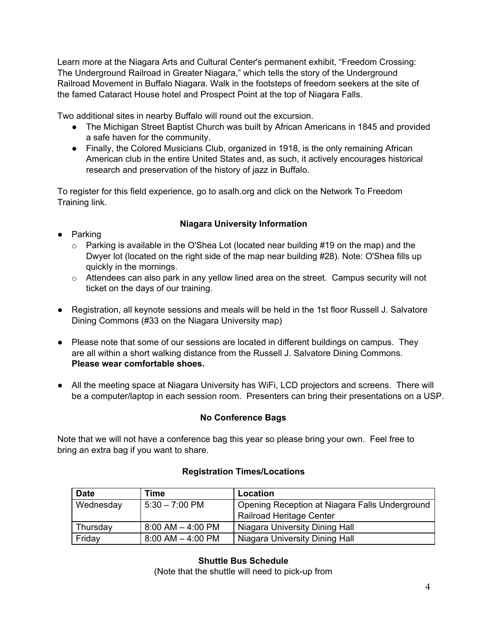Learn more at the Niagara Arts and Cultural Center's permanent exhibit, "Freedom Crossing: The Underground Railroad in Greater Niagara," which tells the story of the Underground Railroad Movement in Buffalo Niagara. Walk in the footsteps of freedom seekers at the site of the famed Cataract House hotel and Prospect Point at the top of Niagara Falls.

Two additional sites in nearby Buffalo will round out the excursion.

- The Michigan Street Baptist Church was built by African Americans in 1845 and provided a safe haven for the community.
- Finally, the Colored Musicians Club, organized in 1918, is the only remaining African American club in the entire United States and, as such, it actively encourages historical research and preservation of the history of jazz in Buffalo.

To register for this field experience, go to asalh.org and click on the Network To Freedom Training link.

# **Niagara University Information**

- Parking
	- o Parking is available in the O'Shea Lot (located near building #19 on the map) and the Dwyer lot (located on the right side of the map near building #28). Note: O'Shea fills up quickly in the mornings.
	- o Attendees can also park in any yellow lined area on the street. Campus security will not ticket on the days of our training.
- Registration, all keynote sessions and meals will be held in the 1st floor Russell J. Salvatore Dining Commons (#33 on the Niagara University map)
- **●** Please note that some of our sessions are located in different buildings on campus. They are all within a short walking distance from the Russell J. Salvatore Dining Commons. **Please wear comfortable shoes.**
- All the meeting space at Niagara University has WiFi, LCD projectors and screens. There will be a computer/laptop in each session room. Presenters can bring their presentations on a USP.

# **No Conference Bags**

Note that we will not have a conference bag this year so please bring your own. Feel free to bring an extra bag if you want to share.

| <b>Date</b> | Time                  | Location                                       |
|-------------|-----------------------|------------------------------------------------|
| Wednesday   | $5:30 - 7:00$ PM      | Opening Reception at Niagara Falls Underground |
|             |                       | Railroad Heritage Center                       |
| Thursday    | $8:00$ AM $-$ 4:00 PM | Niagara University Dining Hall                 |
| Friday      | $8:00$ AM $-$ 4:00 PM | Niagara University Dining Hall                 |

### **Registration Times/Locations**

### **Shuttle Bus Schedule**

(Note that the shuttle will need to pick-up from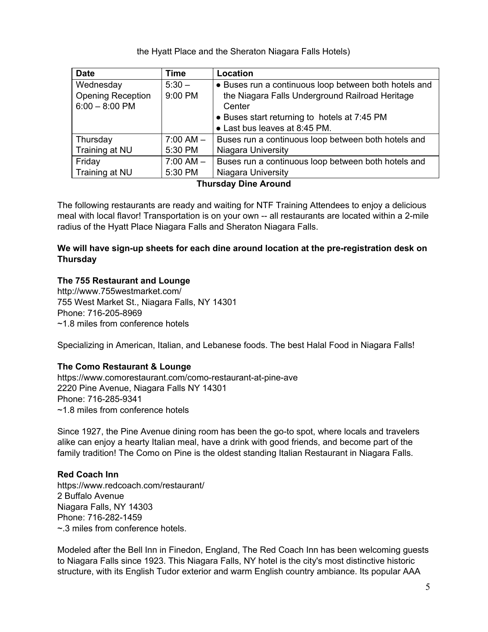the Hyatt Place and the Sheraton Niagara Falls Hotels)

| <b>Date</b>              | <b>Time</b> | Location                                              |
|--------------------------|-------------|-------------------------------------------------------|
| Wednesday                | $5:30 -$    | • Buses run a continuous loop between both hotels and |
| <b>Opening Reception</b> | 9:00 PM     | the Niagara Falls Underground Railroad Heritage       |
| $6:00 - 8:00$ PM         |             | Center                                                |
|                          |             | • Buses start returning to hotels at 7:45 PM          |
|                          |             | • Last bus leaves at 8:45 PM.                         |
| Thursday                 | $7:00 AM -$ | Buses run a continuous loop between both hotels and   |
| Training at NU           | 5:30 PM     | Niagara University                                    |
| Friday                   | $7:00 AM -$ | Buses run a continuous loop between both hotels and   |
| Training at NU           | 5:30 PM     | Niagara University                                    |

#### **Thursday Dine Around**

The following restaurants are ready and waiting for NTF Training Attendees to enjoy a delicious meal with local flavor! Transportation is on your own -- all restaurants are located within a 2-mile radius of the Hyatt Place Niagara Falls and Sheraton Niagara Falls.

### **We will have sign-up sheets for each dine around location at the pre-registration desk on Thursday**

### **The 755 Restaurant and Lounge**

http://www.755westmarket.com/ 755 West Market St., Niagara Falls, NY 14301 Phone: 716-205-8969 ~1.8 miles from conference hotels

Specializing in American, Italian, and Lebanese foods. The best Halal Food in Niagara Falls!

### **The Como Restaurant & Lounge**

https://www.comorestaurant.com/como-restaurant-at-pine-ave 2220 Pine Avenue, Niagara Falls NY 14301 Phone: 716-285-9341 ~1.8 miles from conference hotels

Since 1927, the Pine Avenue dining room has been the go-to spot, where locals and travelers alike can enjoy a hearty Italian meal, have a drink with good friends, and become part of the family tradition! The Como on Pine is the oldest standing Italian Restaurant in Niagara Falls.

### **Red Coach Inn**

https://www.redcoach.com/restaurant/ 2 Buffalo Avenue Niagara Falls, NY 14303 Phone: 716-282-1459 ~.3 miles from conference hotels.

Modeled after the Bell Inn in Finedon, England, The Red Coach Inn has been welcoming guests to Niagara Falls since 1923. This Niagara Falls, NY hotel is the city's most distinctive historic structure, with its English Tudor exterior and warm English country ambiance. Its popular AAA